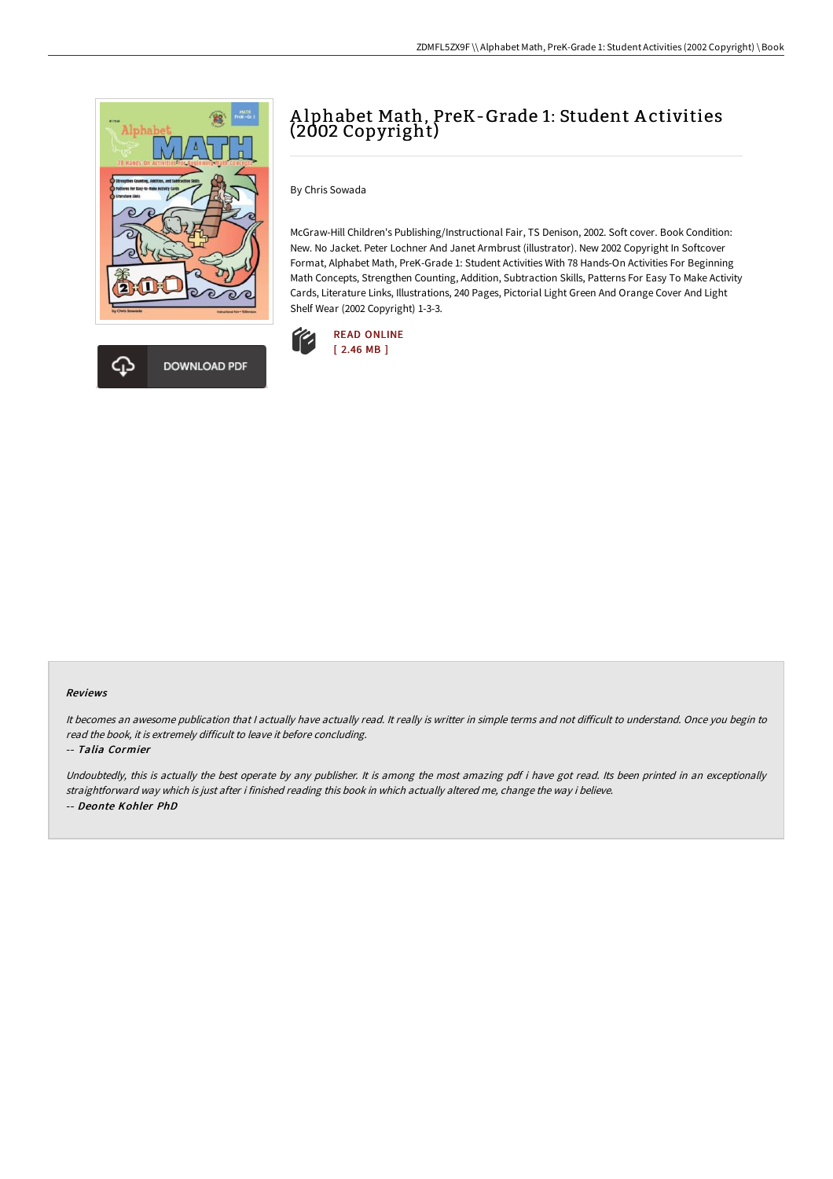



## A lphabet Math, PreK-Grade 1: Student A ctivities (2002 Copyright)

By Chris Sowada

McGraw-Hill Children's Publishing/Instructional Fair, TS Denison, 2002. Soft cover. Book Condition: New. No Jacket. Peter Lochner And Janet Armbrust (illustrator). New 2002 Copyright In Softcover Format, Alphabet Math, PreK-Grade 1: Student Activities With 78 Hands-On Activities For Beginning Math Concepts, Strengthen Counting, Addition, Subtraction Skills, Patterns For Easy To Make Activity Cards, Literature Links, Illustrations, 240 Pages, Pictorial Light Green And Orange Cover And Light Shelf Wear (2002 Copyright) 1-3-3.



## Reviews

It becomes an awesome publication that I actually have actually read. It really is writter in simple terms and not difficult to understand. Once you begin to read the book, it is extremely difficult to leave it before concluding.

-- Talia Cormier

Undoubtedly, this is actually the best operate by any publisher. It is among the most amazing pdf i have got read. Its been printed in an exceptionally straightforward way which is just after i finished reading this book in which actually altered me, change the way i believe. -- Deonte Kohler PhD